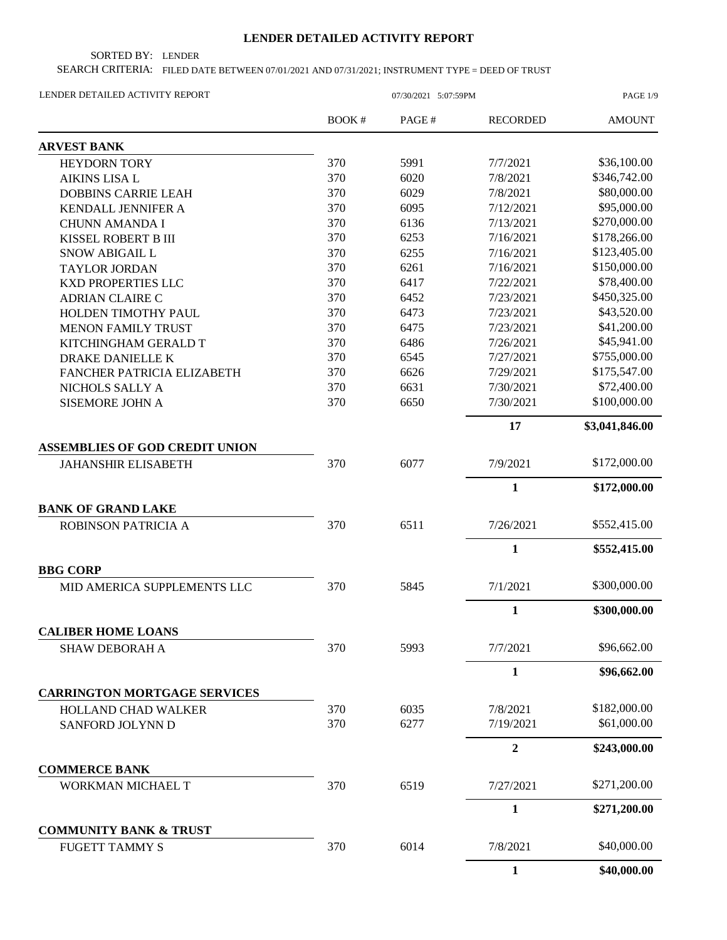## **LENDER DETAILED ACTIVITY REPORT**

SORTED BY: LENDER

SEARCH CRITERIA: FILED DATE BETWEEN 07/01/2021 AND 07/31/2021; INSTRUMENT TYPE = DEED OF TRUST

| LENDER DETAILED ACTIVITY REPORT                    | 07/30/2021 5:07:59PM |       |                 | PAGE 1/9       |  |
|----------------------------------------------------|----------------------|-------|-----------------|----------------|--|
|                                                    | BOOK #               | PAGE# | <b>RECORDED</b> | <b>AMOUNT</b>  |  |
| <b>ARVEST BANK</b>                                 |                      |       |                 |                |  |
| <b>HEYDORN TORY</b>                                | 370                  | 5991  | 7/7/2021        | \$36,100.00    |  |
| <b>AIKINS LISA L</b>                               | 370                  | 6020  | 7/8/2021        | \$346,742.00   |  |
| <b>DOBBINS CARRIE LEAH</b>                         | 370                  | 6029  | 7/8/2021        | \$80,000.00    |  |
| KENDALL JENNIFER A                                 | 370                  | 6095  | 7/12/2021       | \$95,000.00    |  |
| <b>CHUNN AMANDA I</b>                              | 370                  | 6136  | 7/13/2021       | \$270,000.00   |  |
| KISSEL ROBERT B III                                | 370                  | 6253  | 7/16/2021       | \$178,266.00   |  |
| SNOW ABIGAIL L                                     | 370                  | 6255  | 7/16/2021       | \$123,405.00   |  |
| <b>TAYLOR JORDAN</b>                               | 370                  | 6261  | 7/16/2021       | \$150,000.00   |  |
| <b>KXD PROPERTIES LLC</b>                          | 370                  | 6417  | 7/22/2021       | \$78,400.00    |  |
| <b>ADRIAN CLAIRE C</b>                             | 370                  | 6452  | 7/23/2021       | \$450,325.00   |  |
| HOLDEN TIMOTHY PAUL                                | 370                  | 6473  | 7/23/2021       | \$43,520.00    |  |
| <b>MENON FAMILY TRUST</b>                          | 370                  | 6475  | 7/23/2021       | \$41,200.00    |  |
| KITCHINGHAM GERALD T                               | 370                  | 6486  | 7/26/2021       | \$45,941.00    |  |
| DRAKE DANIELLE K                                   | 370                  | 6545  | 7/27/2021       | \$755,000.00   |  |
| FANCHER PATRICIA ELIZABETH                         | 370                  | 6626  | 7/29/2021       | \$175,547.00   |  |
| NICHOLS SALLY A                                    | 370                  | 6631  | 7/30/2021       | \$72,400.00    |  |
| <b>SISEMORE JOHN A</b>                             | 370                  | 6650  | 7/30/2021       | \$100,000.00   |  |
|                                                    |                      |       | 17              | \$3,041,846.00 |  |
| <b>ASSEMBLIES OF GOD CREDIT UNION</b>              |                      |       |                 |                |  |
| <b>JAHANSHIR ELISABETH</b>                         | 370                  | 6077  | 7/9/2021        | \$172,000.00   |  |
|                                                    |                      |       | $\mathbf{1}$    | \$172,000.00   |  |
| <b>BANK OF GRAND LAKE</b>                          |                      |       |                 |                |  |
| ROBINSON PATRICIA A                                | 370                  | 6511  | 7/26/2021       | \$552,415.00   |  |
|                                                    |                      |       | $\mathbf{1}$    | \$552,415.00   |  |
| <b>BBG CORP</b>                                    |                      |       |                 |                |  |
| MID AMERICA SUPPLEMENTS LLC                        | 370                  | 5845  | 7/1/2021        | \$300,000.00   |  |
|                                                    |                      |       | 1               | \$300,000.00   |  |
| <b>CALIBER HOME LOANS</b><br><b>SHAW DEBORAH A</b> | 370                  | 5993  | 7/7/2021        | \$96,662.00    |  |
|                                                    |                      |       | $\mathbf{1}$    | \$96,662.00    |  |
| <b>CARRINGTON MORTGAGE SERVICES</b>                |                      |       |                 |                |  |
| <b>HOLLAND CHAD WALKER</b>                         | 370                  | 6035  | 7/8/2021        | \$182,000.00   |  |
| SANFORD JOLYNN D                                   | 370                  | 6277  | 7/19/2021       | \$61,000.00    |  |
|                                                    |                      |       | $\overline{2}$  | \$243,000.00   |  |
| <b>COMMERCE BANK</b>                               |                      |       |                 |                |  |
| WORKMAN MICHAEL T                                  | 370                  | 6519  | 7/27/2021       | \$271,200.00   |  |
|                                                    |                      |       | $\mathbf{1}$    | \$271,200.00   |  |
| <b>COMMUNITY BANK &amp; TRUST</b>                  |                      |       |                 |                |  |
| <b>FUGETT TAMMY S</b>                              | 370                  | 6014  | 7/8/2021        | \$40,000.00    |  |
|                                                    |                      |       | $\mathbf{1}$    | \$40,000.00    |  |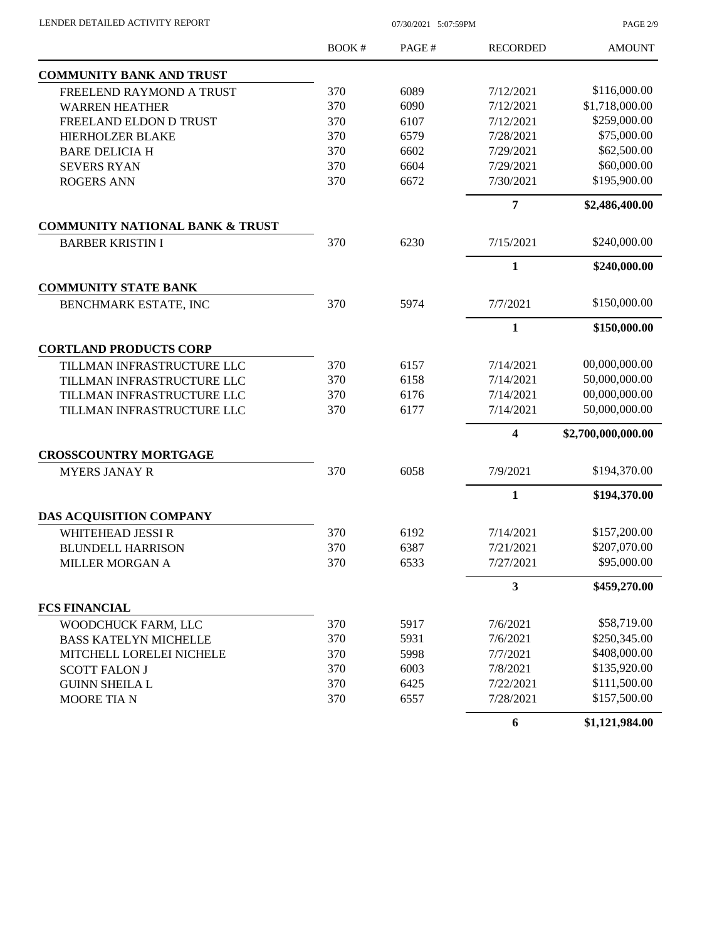| LENDER DETAILED ACTIVITY REPORT |  |
|---------------------------------|--|

07/30/2021 5:07:59PM

PAGE 2/9

|                                            | <b>BOOK#</b> | PAGE# | <b>RECORDED</b>         | <b>AMOUNT</b>      |
|--------------------------------------------|--------------|-------|-------------------------|--------------------|
| <b>COMMUNITY BANK AND TRUST</b>            |              |       |                         |                    |
| FREELEND RAYMOND A TRUST                   | 370          | 6089  | 7/12/2021               | \$116,000.00       |
| <b>WARREN HEATHER</b>                      | 370          | 6090  | 7/12/2021               | \$1,718,000.00     |
| FREELAND ELDON D TRUST                     | 370          | 6107  | 7/12/2021               | \$259,000.00       |
| <b>HIERHOLZER BLAKE</b>                    | 370          | 6579  | 7/28/2021               | \$75,000.00        |
| <b>BARE DELICIA H</b>                      | 370          | 6602  | 7/29/2021               | \$62,500.00        |
| <b>SEVERS RYAN</b>                         | 370          | 6604  | 7/29/2021               | \$60,000.00        |
| <b>ROGERS ANN</b>                          | 370          | 6672  | 7/30/2021               | \$195,900.00       |
|                                            |              |       | $\overline{7}$          | \$2,486,400.00     |
| <b>COMMUNITY NATIONAL BANK &amp; TRUST</b> |              |       |                         |                    |
| <b>BARBER KRISTIN I</b>                    | 370          | 6230  | 7/15/2021               | \$240,000.00       |
|                                            |              |       | 1                       | \$240,000.00       |
| <b>COMMUNITY STATE BANK</b>                |              |       |                         |                    |
| BENCHMARK ESTATE, INC                      | 370          | 5974  | 7/7/2021                | \$150,000.00       |
|                                            |              |       | $\mathbf{1}$            | \$150,000.00       |
| <b>CORTLAND PRODUCTS CORP</b>              |              |       |                         |                    |
| TILLMAN INFRASTRUCTURE LLC                 | 370          | 6157  | 7/14/2021               | 00,000,000.00      |
| TILLMAN INFRASTRUCTURE LLC                 | 370          | 6158  | 7/14/2021               | 50,000,000.00      |
| TILLMAN INFRASTRUCTURE LLC                 | 370          | 6176  | 7/14/2021               | 00,000,000.00      |
| TILLMAN INFRASTRUCTURE LLC                 | 370          | 6177  | 7/14/2021               | 50,000,000.00      |
|                                            |              |       | $\overline{\mathbf{4}}$ | \$2,700,000,000.00 |
| <b>CROSSCOUNTRY MORTGAGE</b>               |              |       |                         |                    |
| <b>MYERS JANAY R</b>                       | 370          | 6058  | 7/9/2021                | \$194,370.00       |
|                                            |              |       | $\mathbf{1}$            | \$194,370.00       |
| DAS ACQUISITION COMPANY                    |              |       |                         |                    |
| WHITEHEAD JESSI R                          | 370          | 6192  | 7/14/2021               | \$157,200.00       |
| <b>BLUNDELL HARRISON</b>                   | 370          | 6387  | 7/21/2021               | \$207,070.00       |
| MILLER MORGAN A                            | 370          | 6533  | 7/27/2021               | \$95,000.00        |
|                                            |              |       | $\mathbf{3}$            | \$459,270.00       |
| <b>FCS FINANCIAL</b>                       |              |       |                         |                    |
| WOODCHUCK FARM, LLC                        | 370          | 5917  | 7/6/2021                | \$58,719.00        |
| <b>BASS KATELYN MICHELLE</b>               | 370          | 5931  | 7/6/2021                | \$250,345.00       |
| MITCHELL LORELEI NICHELE                   | 370          | 5998  | 7/7/2021                | \$408,000.00       |
| <b>SCOTT FALON J</b>                       | 370          | 6003  | 7/8/2021                | \$135,920.00       |
| <b>GUINN SHEILA L</b>                      | 370          | 6425  | 7/22/2021               | \$111,500.00       |
| <b>MOORE TIAN</b>                          | 370          | 6557  | 7/28/2021               | \$157,500.00       |
|                                            |              |       | 6                       | \$1,121,984.00     |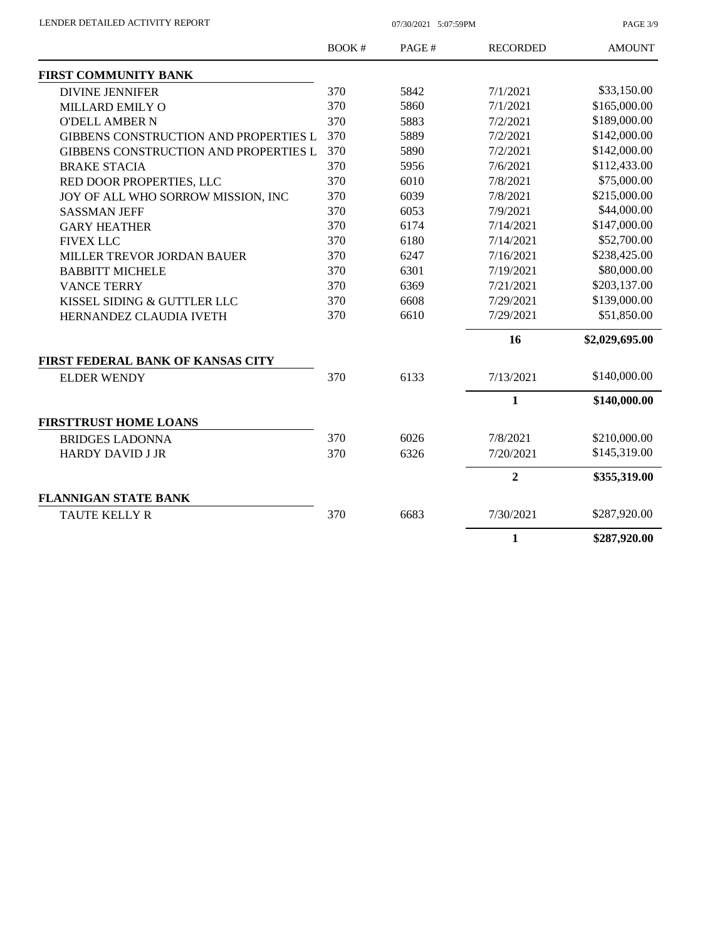PAGE 3/9

|                                              | <b>BOOK#</b> | PAGE# | <b>RECORDED</b> | <b>AMOUNT</b>  |
|----------------------------------------------|--------------|-------|-----------------|----------------|
| <b>FIRST COMMUNITY BANK</b>                  |              |       |                 |                |
| <b>DIVINE JENNIFER</b>                       | 370          | 5842  | 7/1/2021        | \$33,150.00    |
| MILLARD EMILY O                              | 370          | 5860  | 7/1/2021        | \$165,000.00   |
| <b>O'DELL AMBER N</b>                        | 370          | 5883  | 7/2/2021        | \$189,000.00   |
| <b>GIBBENS CONSTRUCTION AND PROPERTIES L</b> | 370          | 5889  | 7/2/2021        | \$142,000.00   |
| GIBBENS CONSTRUCTION AND PROPERTIES L        | 370          | 5890  | 7/2/2021        | \$142,000.00   |
| <b>BRAKE STACIA</b>                          | 370          | 5956  | 7/6/2021        | \$112,433.00   |
| RED DOOR PROPERTIES, LLC                     | 370          | 6010  | 7/8/2021        | \$75,000.00    |
| JOY OF ALL WHO SORROW MISSION, INC           | 370          | 6039  | 7/8/2021        | \$215,000.00   |
| <b>SASSMAN JEFF</b>                          | 370          | 6053  | 7/9/2021        | \$44,000.00    |
| <b>GARY HEATHER</b>                          | 370          | 6174  | 7/14/2021       | \$147,000.00   |
| <b>FIVEX LLC</b>                             | 370          | 6180  | 7/14/2021       | \$52,700.00    |
| MILLER TREVOR JORDAN BAUER                   | 370          | 6247  | 7/16/2021       | \$238,425.00   |
| <b>BABBITT MICHELE</b>                       | 370          | 6301  | 7/19/2021       | \$80,000.00    |
| <b>VANCE TERRY</b>                           | 370          | 6369  | 7/21/2021       | \$203,137.00   |
| KISSEL SIDING & GUTTLER LLC                  | 370          | 6608  | 7/29/2021       | \$139,000.00   |
| HERNANDEZ CLAUDIA IVETH                      | 370          | 6610  | 7/29/2021       | \$51,850.00    |
|                                              |              |       | 16              | \$2,029,695.00 |
| <b>FIRST FEDERAL BANK OF KANSAS CITY</b>     |              |       |                 |                |
| <b>ELDER WENDY</b>                           | 370          | 6133  | 7/13/2021       | \$140,000.00   |
|                                              |              |       | 1               | \$140,000.00   |
| <b>FIRSTTRUST HOME LOANS</b>                 |              |       |                 |                |
| <b>BRIDGES LADONNA</b>                       | 370          | 6026  | 7/8/2021        | \$210,000.00   |
| <b>HARDY DAVID J JR</b>                      | 370          | 6326  | 7/20/2021       | \$145,319.00   |
|                                              |              |       | $\overline{2}$  | \$355,319.00   |
| <b>FLANNIGAN STATE BANK</b>                  |              |       |                 |                |
| <b>TAUTE KELLY R</b>                         | 370          | 6683  | 7/30/2021       | \$287,920.00   |
|                                              |              |       | 1               | \$287,920.00   |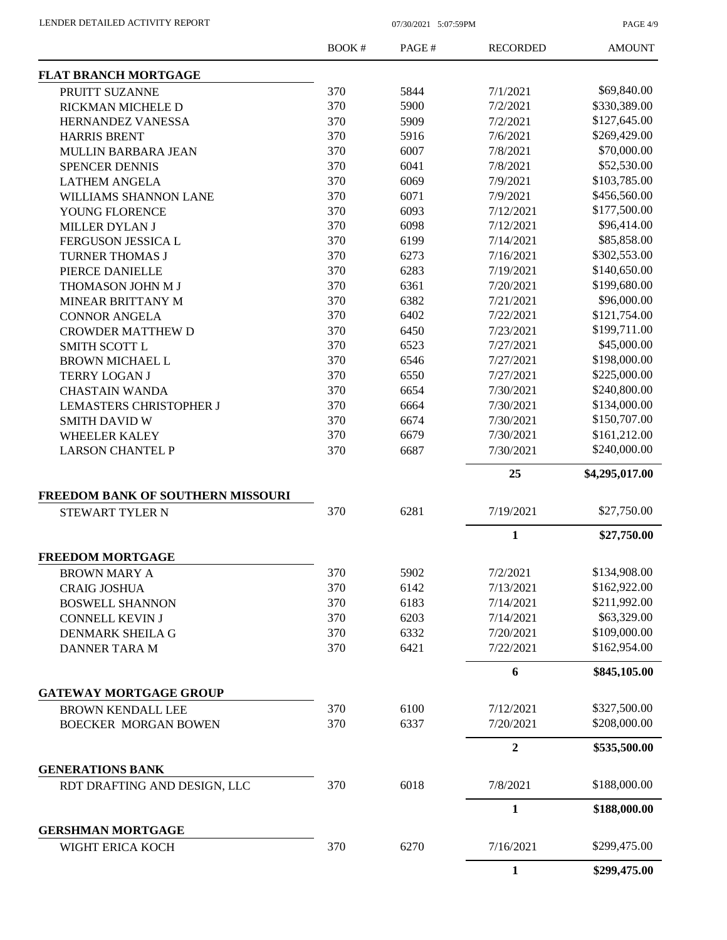PAGE 4/9

|                                                             | BOOK # | PAGE# | <b>RECORDED</b> | <b>AMOUNT</b>  |
|-------------------------------------------------------------|--------|-------|-----------------|----------------|
| <b>FLAT BRANCH MORTGAGE</b>                                 |        |       |                 |                |
| PRUITT SUZANNE                                              | 370    | 5844  | 7/1/2021        | \$69,840.00    |
| RICKMAN MICHELE D                                           | 370    | 5900  | 7/2/2021        | \$330,389.00   |
| HERNANDEZ VANESSA                                           | 370    | 5909  | 7/2/2021        | \$127,645.00   |
| <b>HARRIS BRENT</b>                                         | 370    | 5916  | 7/6/2021        | \$269,429.00   |
| MULLIN BARBARA JEAN                                         | 370    | 6007  | 7/8/2021        | \$70,000.00    |
| SPENCER DENNIS                                              | 370    | 6041  | 7/8/2021        | \$52,530.00    |
| <b>LATHEM ANGELA</b>                                        | 370    | 6069  | 7/9/2021        | \$103,785.00   |
| WILLIAMS SHANNON LANE                                       | 370    | 6071  | 7/9/2021        | \$456,560.00   |
| YOUNG FLORENCE                                              | 370    | 6093  | 7/12/2021       | \$177,500.00   |
| MILLER DYLAN J                                              | 370    | 6098  | 7/12/2021       | \$96,414.00    |
| <b>FERGUSON JESSICA L</b>                                   | 370    | 6199  | 7/14/2021       | \$85,858.00    |
| <b>TURNER THOMAS J</b>                                      | 370    | 6273  | 7/16/2021       | \$302,553.00   |
| PIERCE DANIELLE                                             | 370    | 6283  | 7/19/2021       | \$140,650.00   |
| THOMASON JOHN M J                                           | 370    | 6361  | 7/20/2021       | \$199,680.00   |
| MINEAR BRITTANY M                                           | 370    | 6382  | 7/21/2021       | \$96,000.00    |
| <b>CONNOR ANGELA</b>                                        | 370    | 6402  | 7/22/2021       | \$121,754.00   |
| <b>CROWDER MATTHEW D</b>                                    | 370    | 6450  | 7/23/2021       | \$199,711.00   |
| <b>SMITH SCOTT L</b>                                        | 370    | 6523  | 7/27/2021       | \$45,000.00    |
| <b>BROWN MICHAEL L</b>                                      | 370    | 6546  | 7/27/2021       | \$198,000.00   |
| <b>TERRY LOGAN J</b>                                        | 370    | 6550  | 7/27/2021       | \$225,000.00   |
| <b>CHASTAIN WANDA</b>                                       | 370    | 6654  | 7/30/2021       | \$240,800.00   |
| <b>LEMASTERS CHRISTOPHER J</b>                              | 370    | 6664  | 7/30/2021       | \$134,000.00   |
| <b>SMITH DAVID W</b>                                        | 370    | 6674  | 7/30/2021       | \$150,707.00   |
| <b>WHEELER KALEY</b>                                        | 370    | 6679  | 7/30/2021       | \$161,212.00   |
| <b>LARSON CHANTEL P</b>                                     | 370    | 6687  | 7/30/2021       | \$240,000.00   |
|                                                             |        |       |                 |                |
|                                                             |        |       | 25              | \$4,295,017.00 |
| FREEDOM BANK OF SOUTHERN MISSOURI<br><b>STEWART TYLER N</b> | 370    | 6281  | 7/19/2021       | \$27,750.00    |
|                                                             |        |       | $\mathbf{1}$    | \$27,750.00    |
| <b>FREEDOM MORTGAGE</b>                                     |        |       |                 |                |
| <b>BROWN MARY A</b>                                         | 370    | 5902  | 7/2/2021        | \$134,908.00   |
| <b>CRAIG JOSHUA</b>                                         | 370    | 6142  | 7/13/2021       | \$162,922.00   |
| <b>BOSWELL SHANNON</b>                                      | 370    | 6183  | 7/14/2021       | \$211,992.00   |
| <b>CONNELL KEVIN J</b>                                      | 370    | 6203  | 7/14/2021       | \$63,329.00    |
| <b>DENMARK SHEILA G</b>                                     | 370    | 6332  | 7/20/2021       | \$109,000.00   |
| DANNER TARA M                                               | 370    | 6421  | 7/22/2021       | \$162,954.00   |
|                                                             |        |       | 6               | \$845,105.00   |
| <b>GATEWAY MORTGAGE GROUP</b>                               |        |       |                 |                |
| <b>BROWN KENDALL LEE</b>                                    | 370    | 6100  | 7/12/2021       | \$327,500.00   |
| <b>BOECKER MORGAN BOWEN</b>                                 | 370    | 6337  | 7/20/2021       | \$208,000.00   |
|                                                             |        |       | $\mathbf{2}$    | \$535,500.00   |
| <b>GENERATIONS BANK</b>                                     |        |       |                 |                |
| RDT DRAFTING AND DESIGN, LLC                                | 370    | 6018  | 7/8/2021        | \$188,000.00   |
|                                                             |        |       | $\mathbf{1}$    | \$188,000.00   |
| <b>GERSHMAN MORTGAGE</b><br>WIGHT ERICA KOCH                | 370    | 6270  | 7/16/2021       | \$299,475.00   |
|                                                             |        |       | $\mathbf{1}$    | \$299,475.00   |
|                                                             |        |       |                 |                |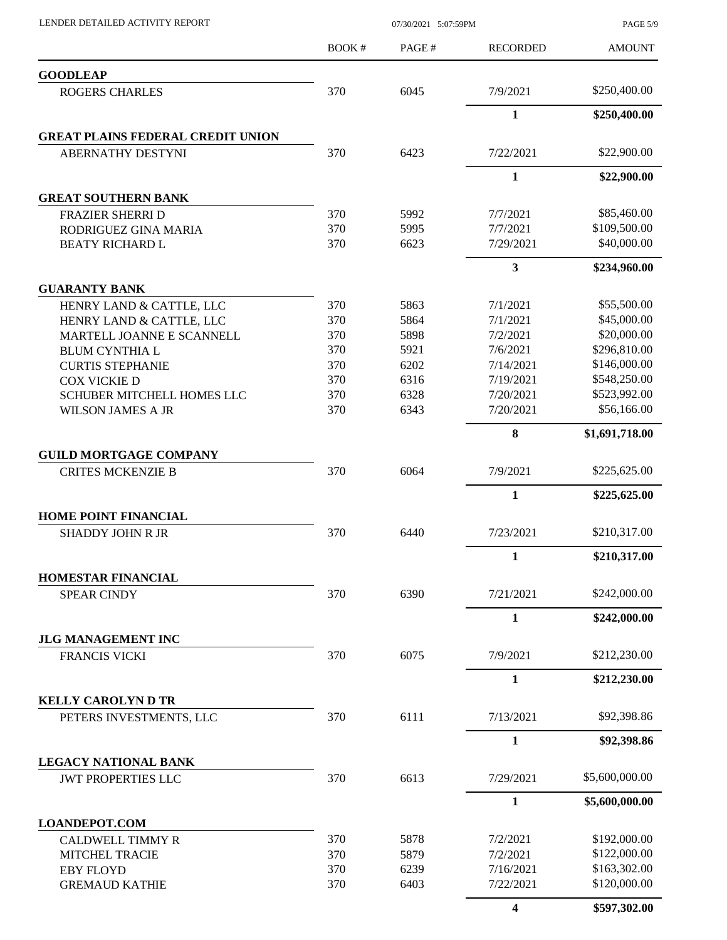|                                                    | BOOK# | PAGE# | <b>RECORDED</b> | <b>AMOUNT</b>  |
|----------------------------------------------------|-------|-------|-----------------|----------------|
| <b>GOODLEAP</b>                                    |       |       |                 |                |
| <b>ROGERS CHARLES</b>                              | 370   | 6045  | 7/9/2021        | \$250,400.00   |
|                                                    |       |       | $\mathbf{1}$    | \$250,400.00   |
| <b>GREAT PLAINS FEDERAL CREDIT UNION</b>           |       |       |                 |                |
| <b>ABERNATHY DESTYNI</b>                           | 370   | 6423  | 7/22/2021       | \$22,900.00    |
|                                                    |       |       | $\mathbf{1}$    | \$22,900.00    |
| <b>GREAT SOUTHERN BANK</b>                         |       |       |                 |                |
| <b>FRAZIER SHERRI D</b>                            | 370   | 5992  | 7/7/2021        | \$85,460.00    |
| RODRIGUEZ GINA MARIA                               | 370   | 5995  | 7/7/2021        | \$109,500.00   |
| <b>BEATY RICHARD L</b>                             | 370   | 6623  | 7/29/2021       | \$40,000.00    |
|                                                    |       |       | 3               | \$234,960.00   |
| <b>GUARANTY BANK</b>                               | 370   | 5863  | 7/1/2021        | \$55,500.00    |
| HENRY LAND & CATTLE, LLC                           | 370   | 5864  | 7/1/2021        | \$45,000.00    |
| HENRY LAND & CATTLE, LLC                           | 370   | 5898  | 7/2/2021        | \$20,000.00    |
| MARTELL JOANNE E SCANNELL<br><b>BLUM CYNTHIA L</b> | 370   | 5921  | 7/6/2021        | \$296,810.00   |
| <b>CURTIS STEPHANIE</b>                            | 370   | 6202  | 7/14/2021       | \$146,000.00   |
| COX VICKIE D                                       | 370   | 6316  | 7/19/2021       | \$548,250.00   |
| <b>SCHUBER MITCHELL HOMES LLC</b>                  | 370   | 6328  | 7/20/2021       | \$523,992.00   |
|                                                    | 370   | 6343  | 7/20/2021       | \$56,166.00    |
| <b>WILSON JAMES A JR</b>                           |       |       | 8               |                |
|                                                    |       |       |                 | \$1,691,718.00 |
| <b>GUILD MORTGAGE COMPANY</b>                      |       |       |                 | \$225,625.00   |
| <b>CRITES MCKENZIE B</b>                           | 370   | 6064  | 7/9/2021        |                |
|                                                    |       |       | $\mathbf{1}$    | \$225,625.00   |
| <b>HOME POINT FINANCIAL</b>                        |       |       |                 |                |
| <b>SHADDY JOHN R JR</b>                            | 370   | 6440  | 7/23/2021       | \$210,317.00   |
|                                                    |       |       | $\mathbf{1}$    | \$210,317.00   |
| <b>HOMESTAR FINANCIAL</b>                          |       |       |                 | \$242,000.00   |
| <b>SPEAR CINDY</b>                                 | 370   | 6390  | 7/21/2021       |                |
|                                                    |       |       | $\mathbf{1}$    | \$242,000.00   |
| <b>JLG MANAGEMENT INC</b><br>FRANCIS VICKI         | 370   | 6075  | 7/9/2021        | \$212,230.00   |
|                                                    |       |       | $\mathbf{1}$    | \$212,230.00   |
| <b>KELLY CAROLYN D TR</b>                          |       |       |                 |                |
| PETERS INVESTMENTS, LLC                            | 370   | 6111  | 7/13/2021       | \$92,398.86    |
|                                                    |       |       | $\mathbf{1}$    | \$92,398.86    |
| <b>LEGACY NATIONAL BANK</b>                        |       |       |                 |                |
| <b>JWT PROPERTIES LLC</b>                          | 370   | 6613  | 7/29/2021       | \$5,600,000.00 |
|                                                    |       |       | $\mathbf{1}$    | \$5,600,000.00 |
| <b>LOANDEPOT.COM</b>                               |       |       |                 |                |
| <b>CALDWELL TIMMY R</b>                            | 370   | 5878  | 7/2/2021        | \$192,000.00   |
| <b>MITCHEL TRACIE</b>                              | 370   | 5879  | 7/2/2021        | \$122,000.00   |
| <b>EBY FLOYD</b>                                   | 370   | 6239  | 7/16/2021       | \$163,302.00   |
| <b>GREMAUD KATHIE</b>                              | 370   | 6403  | 7/22/2021       | \$120,000.00   |
|                                                    |       |       |                 |                |

LENDER DETAILED ACTIVITY REPORT 07/30/2021 5:07:59PM

**4 \$597,302.00**

PAGE 5/9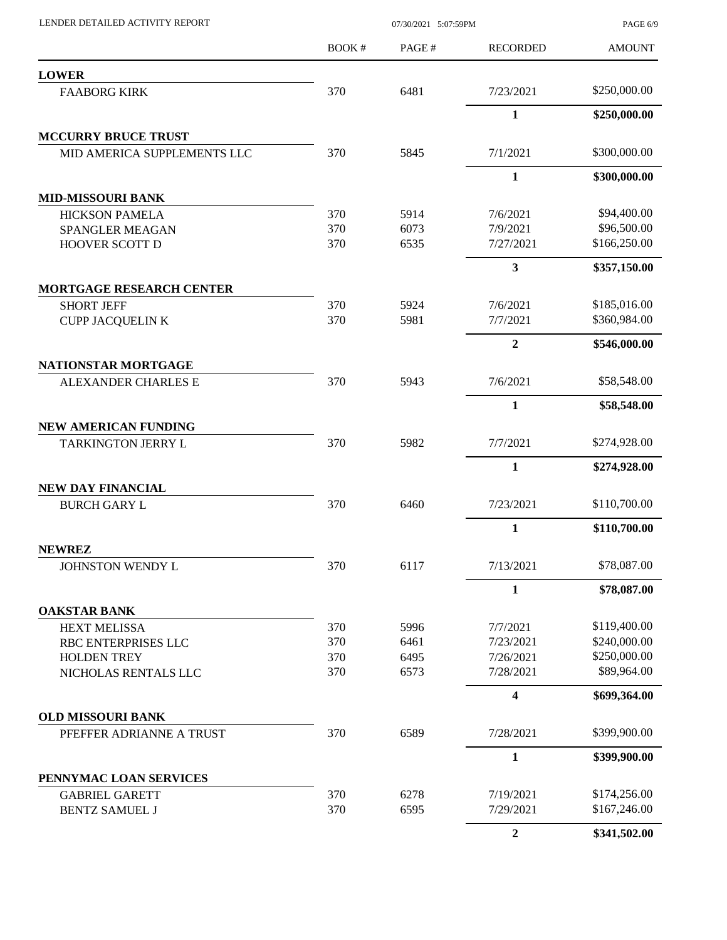BOOK # PAGE # PAGE 6/9 AMOUNT RECORDED **LOWER** FAABORG KIRK 370 6481 7/23/2021 \$250,000.00 **1 \$250,000.00 MCCURRY BRUCE TRUST** MID AMERICA SUPPLEMENTS LLC 370 5845 7/1/2021 \$300,000.00 **1 \$300,000.00 MID-MISSOURI BANK** HICKSON PAMELA 370 5914 7/6/2021 \$94,400.00 SPANGLER MEAGAN 370 6073 7/9/2021 \$96,500.00 HOOVER SCOTT D 370 6535 7/27/2021 \$166,250.00 **3 \$357,150.00 MORTGAGE RESEARCH CENTER** SHORT JEFF 370 5924 7/6/2021 \$185,016.00 CUPP JACQUELIN K 370 5981 7/7/2021 \$360,984.00 **2 \$546,000.00 NATIONSTAR MORTGAGE** ALEXANDER CHARLES E 370 5943 7/6/2021 \$58,548.00 **1 \$58,548.00 NEW AMERICAN FUNDING** TARKINGTON JERRY L 370 5982 7/7/2021 \$274,928.00 **1 \$274,928.00 NEW DAY FINANCIAL** BURCH GARY L 370 6460 7/23/2021 \$110,700.00 **1 \$110,700.00 NEWREZ** JOHNSTON WENDY L 370 6117 7/13/2021 \$78,087.00 **1 \$78,087.00 OAKSTAR BANK** HEXT MELISSA 670 5996 7/7/2021 \$119,400.00 RBC ENTERPRISES LLC 370 6461 7/23/2021 \$240,000.00 HOLDEN TREY 370 6495 7/26/2021 \$250,000.00 NICHOLAS RENTALS LLC  $370$  6573  $7/28/2021$  \$89,964.00 **4 \$699,364.00 OLD MISSOURI BANK** PFEFFER ADRIANNE A TRUST 370 6589 7/28/2021 \$399,900.00 **1 \$399,900.00 PENNYMAC LOAN SERVICES** GABRIEL GARETT 370 6278 7/19/2021 \$174,256.00 BENTZ SAMUEL J 370 6595 7/29/2021 \$167,246.00 **2 \$341,502.00**

LENDER DETAILED ACTIVITY REPORT 07/30/2021 5:07:59PM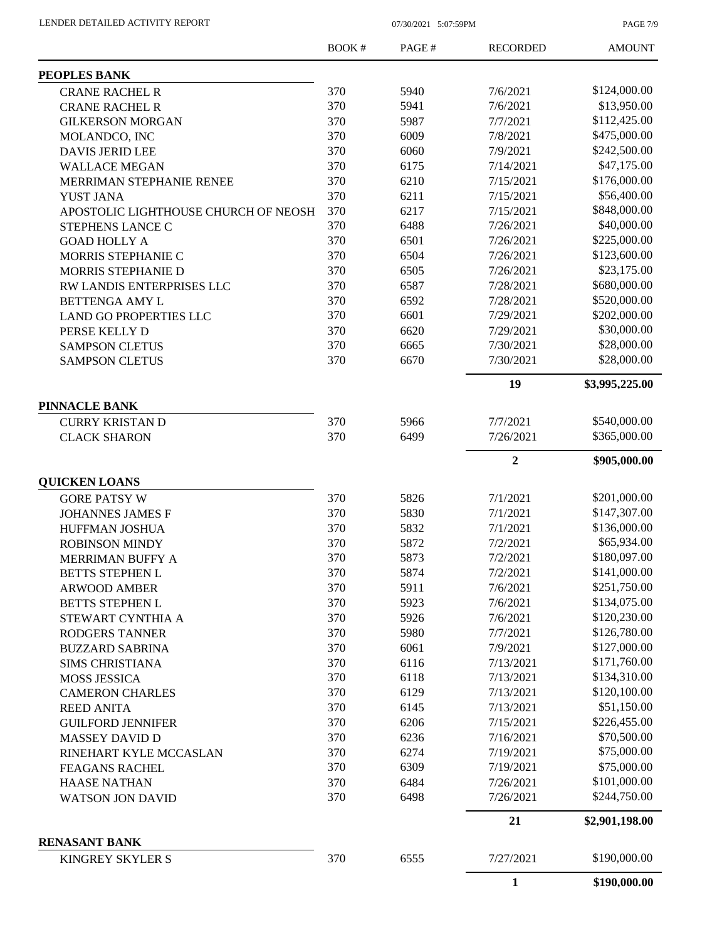PAGE 7/9

|                                                 | <b>BOOK#</b> | PAGE# | <b>RECORDED</b>      | <b>AMOUNT</b>  |
|-------------------------------------------------|--------------|-------|----------------------|----------------|
| PEOPLES BANK                                    |              |       |                      |                |
| <b>CRANE RACHEL R</b>                           | 370          | 5940  | 7/6/2021             | \$124,000.00   |
| <b>CRANE RACHEL R</b>                           | 370          | 5941  | 7/6/2021             | \$13,950.00    |
| <b>GILKERSON MORGAN</b>                         | 370          | 5987  | 7/7/2021             | \$112,425.00   |
| MOLANDCO, INC                                   | 370          | 6009  | 7/8/2021             | \$475,000.00   |
| <b>DAVIS JERID LEE</b>                          | 370          | 6060  | 7/9/2021             | \$242,500.00   |
| <b>WALLACE MEGAN</b>                            | 370          | 6175  | 7/14/2021            | \$47,175.00    |
| MERRIMAN STEPHANIE RENEE                        | 370          | 6210  | 7/15/2021            | \$176,000.00   |
| <b>YUST JANA</b>                                | 370          | 6211  | 7/15/2021            | \$56,400.00    |
| APOSTOLIC LIGHTHOUSE CHURCH OF NEOSH            | 370          | 6217  | 7/15/2021            | \$848,000.00   |
| STEPHENS LANCE C                                | 370          | 6488  | 7/26/2021            | \$40,000.00    |
| <b>GOAD HOLLY A</b>                             | 370          | 6501  | 7/26/2021            | \$225,000.00   |
| MORRIS STEPHANIE C                              | 370          | 6504  | 7/26/2021            | \$123,600.00   |
| MORRIS STEPHANIE D                              | 370          | 6505  | 7/26/2021            | \$23,175.00    |
| RW LANDIS ENTERPRISES LLC                       | 370          | 6587  | 7/28/2021            | \$680,000.00   |
| BETTENGA AMY L                                  | 370          | 6592  | 7/28/2021            | \$520,000.00   |
| <b>LAND GO PROPERTIES LLC</b>                   | 370          | 6601  | 7/29/2021            | \$202,000.00   |
| PERSE KELLY D                                   | 370          | 6620  | 7/29/2021            | \$30,000.00    |
| <b>SAMPSON CLETUS</b>                           | 370          | 6665  | 7/30/2021            | \$28,000.00    |
| <b>SAMPSON CLETUS</b>                           | 370          | 6670  | 7/30/2021            | \$28,000.00    |
|                                                 |              |       | 19                   | \$3,995,225.00 |
| <b>PINNACLE BANK</b>                            |              |       |                      |                |
| <b>CURRY KRISTAN D</b>                          | 370          | 5966  | 7/7/2021             | \$540,000.00   |
| <b>CLACK SHARON</b>                             | 370          | 6499  | 7/26/2021            | \$365,000.00   |
|                                                 |              |       | $\overline{2}$       |                |
| <b>QUICKEN LOANS</b>                            |              |       |                      | \$905,000.00   |
|                                                 | 370          | 5826  | 7/1/2021             | \$201,000.00   |
| <b>GORE PATSY W</b>                             | 370          | 5830  | 7/1/2021             | \$147,307.00   |
| <b>JOHANNES JAMES F</b><br>HUFFMAN JOSHUA       | 370          | 5832  | 7/1/2021             | \$136,000.00   |
|                                                 | 370          | 5872  | 7/2/2021             | \$65,934.00    |
| <b>ROBINSON MINDY</b>                           | 370          | 5873  | 7/2/2021             | \$180,097.00   |
| <b>MERRIMAN BUFFY A</b>                         |              |       |                      | \$141,000.00   |
| <b>BETTS STEPHEN L</b>                          | 370<br>370   | 5874  | 7/2/2021<br>7/6/2021 | \$251,750.00   |
| <b>ARWOOD AMBER</b>                             |              | 5911  |                      |                |
| <b>BETTS STEPHEN L</b>                          | 370          | 5923  | 7/6/2021             | \$134,075.00   |
| STEWART CYNTHIA A                               | 370          | 5926  | 7/6/2021             | \$120,230.00   |
| <b>RODGERS TANNER</b>                           | 370          | 5980  | 7/7/2021             | \$126,780.00   |
| <b>BUZZARD SABRINA</b>                          | 370          | 6061  | 7/9/2021             | \$127,000.00   |
| <b>SIMS CHRISTIANA</b>                          | 370          | 6116  | 7/13/2021            | \$171,760.00   |
| <b>MOSS JESSICA</b>                             | 370          | 6118  | 7/13/2021            | \$134,310.00   |
| <b>CAMERON CHARLES</b>                          | 370          | 6129  | 7/13/2021            | \$120,100.00   |
| <b>REED ANITA</b>                               | 370          | 6145  | 7/13/2021            | \$51,150.00    |
| <b>GUILFORD JENNIFER</b>                        | 370          | 6206  | 7/15/2021            | \$226,455.00   |
| <b>MASSEY DAVID D</b>                           | 370          | 6236  | 7/16/2021            | \$70,500.00    |
| RINEHART KYLE MCCASLAN                          | 370          | 6274  | 7/19/2021            | \$75,000.00    |
| <b>FEAGANS RACHEL</b>                           | 370          | 6309  | 7/19/2021            | \$75,000.00    |
| <b>HAASE NATHAN</b>                             | 370          | 6484  | 7/26/2021            | \$101,000.00   |
| <b>WATSON JON DAVID</b>                         | 370          | 6498  | 7/26/2021            | \$244,750.00   |
|                                                 |              |       | 21                   | \$2,901,198.00 |
| <b>RENASANT BANK</b><br><b>KINGREY SKYLER S</b> | 370          | 6555  | 7/27/2021            | \$190,000.00   |
|                                                 |              |       |                      |                |
|                                                 |              |       | $\mathbf{1}$         | \$190,000.00   |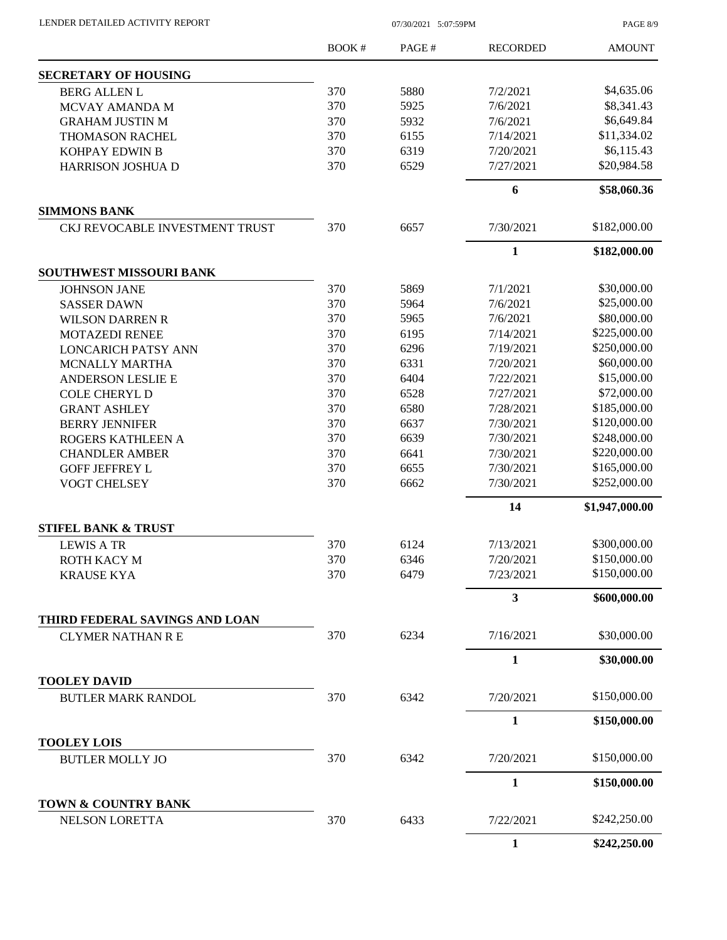LENDER DETAILED ACTIVITY REPORT 07/30/2021 5:07:59PM

PAGE 8/9

|                                       | <b>BOOK#</b> | PAGE# | <b>RECORDED</b>         | <b>AMOUNT</b>  |
|---------------------------------------|--------------|-------|-------------------------|----------------|
| <b>SECRETARY OF HOUSING</b>           |              |       |                         |                |
| <b>BERG ALLEN L</b>                   | 370          | 5880  | 7/2/2021                | \$4,635.06     |
| MCVAY AMANDA M                        | 370          | 5925  | 7/6/2021                | \$8,341.43     |
| <b>GRAHAM JUSTIN M</b>                | 370          | 5932  | 7/6/2021                | \$6,649.84     |
| <b>THOMASON RACHEL</b>                | 370          | 6155  | 7/14/2021               | \$11,334.02    |
| KOHPAY EDWIN B                        | 370          | 6319  | 7/20/2021               | \$6,115.43     |
| HARRISON JOSHUA D                     | 370          | 6529  | 7/27/2021               | \$20,984.58    |
|                                       |              |       | 6                       | \$58,060.36    |
| <b>SIMMONS BANK</b>                   |              |       |                         |                |
| CKJ REVOCABLE INVESTMENT TRUST        | 370          | 6657  | 7/30/2021               | \$182,000.00   |
|                                       |              |       | 1                       | \$182,000.00   |
| SOUTHWEST MISSOURI BANK               |              |       |                         |                |
| <b>JOHNSON JANE</b>                   | 370          | 5869  | 7/1/2021                | \$30,000.00    |
| <b>SASSER DAWN</b>                    | 370          | 5964  | 7/6/2021                | \$25,000.00    |
| <b>WILSON DARREN R</b>                | 370          | 5965  | 7/6/2021                | \$80,000.00    |
| <b>MOTAZEDI RENEE</b>                 | 370          | 6195  | 7/14/2021               | \$225,000.00   |
| <b>LONCARICH PATSY ANN</b>            | 370          | 6296  | 7/19/2021               | \$250,000.00   |
| <b>MCNALLY MARTHA</b>                 | 370          | 6331  | 7/20/2021               | \$60,000.00    |
| <b>ANDERSON LESLIE E</b>              | 370          | 6404  | 7/22/2021               | \$15,000.00    |
| <b>COLE CHERYL D</b>                  | 370          | 6528  | 7/27/2021               | \$72,000.00    |
| <b>GRANT ASHLEY</b>                   | 370          | 6580  | 7/28/2021               | \$185,000.00   |
| <b>BERRY JENNIFER</b>                 | 370          | 6637  | 7/30/2021               | \$120,000.00   |
| ROGERS KATHLEEN A                     | 370          | 6639  | 7/30/2021               | \$248,000.00   |
| <b>CHANDLER AMBER</b>                 | 370          | 6641  | 7/30/2021               | \$220,000.00   |
| <b>GOFF JEFFREY L</b>                 | 370          | 6655  | 7/30/2021               | \$165,000.00   |
| VOGT CHELSEY                          | 370          | 6662  | 7/30/2021               | \$252,000.00   |
|                                       |              |       | 14                      | \$1,947,000.00 |
| <b>STIFEL BANK &amp; TRUST</b>        |              |       |                         |                |
| <b>LEWIS A TR</b>                     | 370          | 6124  | 7/13/2021               | \$300,000.00   |
| ROTH KACY M                           | 370          | 6346  | 7/20/2021               | \$150,000.00   |
| <b>KRAUSE KYA</b>                     | 370          | 6479  | 7/23/2021               | \$150,000.00   |
|                                       |              |       | $\overline{\mathbf{3}}$ | \$600,000.00   |
| THIRD FEDERAL SAVINGS AND LOAN        |              |       |                         |                |
| <b>CLYMER NATHAN R E</b>              | 370          | 6234  | 7/16/2021               | \$30,000.00    |
| <b>TOOLEY DAVID</b>                   |              |       | 1                       | \$30,000.00    |
| <b>BUTLER MARK RANDOL</b>             | 370          | 6342  | 7/20/2021               | \$150,000.00   |
|                                       |              |       | $\mathbf{1}$            | \$150,000.00   |
| <b>TOOLEY LOIS</b>                    |              |       |                         |                |
| <b>BUTLER MOLLY JO</b>                | 370          | 6342  | 7/20/2021               | \$150,000.00   |
|                                       |              |       | 1                       | \$150,000.00   |
| TOWN & COUNTRY BANK<br>NELSON LORETTA | 370          | 6433  | 7/22/2021               | \$242,250.00   |
|                                       |              |       | $\mathbf{1}$            | \$242,250.00   |